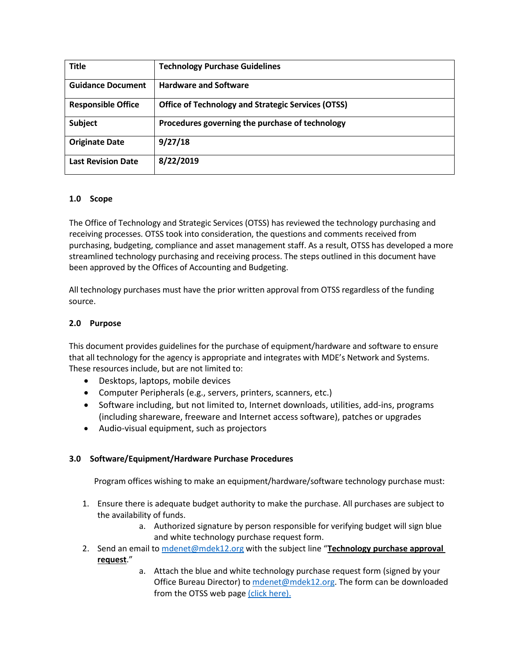| <b>Title</b>              | <b>Technology Purchase Guidelines</b>                     |
|---------------------------|-----------------------------------------------------------|
| <b>Guidance Document</b>  | <b>Hardware and Software</b>                              |
| <b>Responsible Office</b> | <b>Office of Technology and Strategic Services (OTSS)</b> |
| <b>Subject</b>            | Procedures governing the purchase of technology           |
| <b>Originate Date</b>     | 9/27/18                                                   |
| <b>Last Revision Date</b> | 8/22/2019                                                 |

## **1.0 Scope**

The Office of Technology and Strategic Services (OTSS) has reviewed the technology purchasing and receiving processes. OTSS took into consideration, the questions and comments received from purchasing, budgeting, compliance and asset management staff. As a result, OTSS has developed a more streamlined technology purchasing and receiving process. The steps outlined in this document have been approved by the Offices of Accounting and Budgeting.

All technology purchases must have the prior written approval from OTSS regardless of the funding source.

## **2.0 Purpose**

This document provides guidelines for the purchase of equipment/hardware and software to ensure that all technology for the agency is appropriate and integrates with MDE's Network and Systems. These resources include, but are not limited to:

- Desktops, laptops, mobile devices
- Computer Peripherals (e.g., servers, printers, scanners, etc.)
- Software including, but not limited to, Internet downloads, utilities, add-ins, programs (including shareware, freeware and Internet access software), patches or upgrades
- Audio-visual equipment, such as projectors

# **3.0 Software/Equipment/Hardware Purchase Procedures**

Program offices wishing to make an equipment/hardware/software technology purchase must:

- 1. Ensure there is adequate budget authority to make the purchase. All purchases are subject to the availability of funds.
	- a. Authorized signature by person responsible for verifying budget will sign blue and white technology purchase request form.
- 2. Send an email to [mdenet@mdek12.org](mailto:mdenet@mdek12.org) with the subject line "**Technology purchase approval request**."
	- a. Attach the blue and white technology purchase request form (signed by your Office Bureau Director) to [mdenet@mdek12.org.](mailto:mdenet@mdek12.org) The form can be downloaded from the OTSS web pag[e \(click here\).](http://www.mdek12.org/sites/default/files/Offices/MDE/OTSS/technology-purchase-approval-request.xls)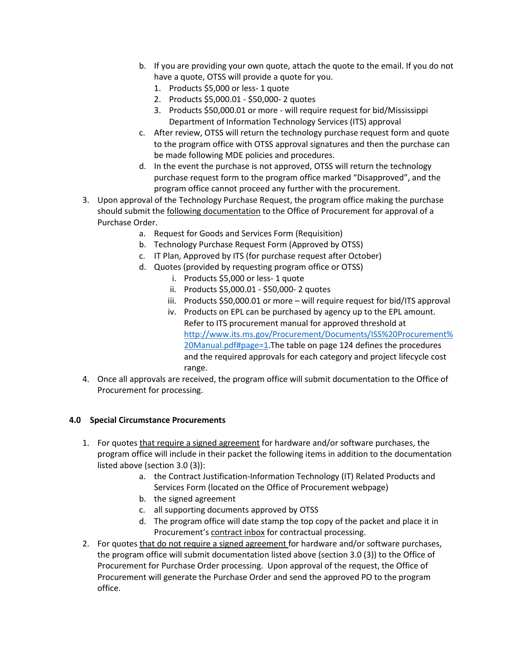- b. If you are providing your own quote, attach the quote to the email. If you do not have a quote, OTSS will provide a quote for you.
	- 1. Products \$5,000 or less- 1 quote
	- 2. Products \$5,000.01 \$50,000- 2 quotes
	- 3. Products \$50,000.01 or more will require request for bid/Mississippi Department of Information Technology Services (ITS) approval
- c. After review, OTSS will return the technology purchase request form and quote to the program office with OTSS approval signatures and then the purchase can be made following MDE policies and procedures.
- d. In the event the purchase is not approved, OTSS will return the technology purchase request form to the program office marked "Disapproved", and the program office cannot proceed any further with the procurement.
- 3. Upon approval of the Technology Purchase Request, the program office making the purchase should submit the following documentation to the Office of Procurement for approval of a Purchase Order.
	- a. Request for Goods and Services Form (Requisition)
	- b. Technology Purchase Request Form (Approved by OTSS)
	- c. IT Plan, Approved by ITS (for purchase request after October)
	- d. Quotes (provided by requesting program office or OTSS)
		- i. Products \$5,000 or less- 1 quote
		- ii. Products \$5,000.01 \$50,000- 2 quotes
		- iii. Products \$50,000.01 or more will require request for bid/ITS approval
		- iv. Products on EPL can be purchased by agency up to the EPL amount. Refer to ITS procurement manual for approved threshold at [http://www.its.ms.gov/Procurement/Documents/ISS%20Procurement%](http://www.its.ms.gov/Procurement/Documents/ISS%20Procurement%20Manual.pdf#page=1) [20Manual.pdf#page=1.](http://www.its.ms.gov/Procurement/Documents/ISS%20Procurement%20Manual.pdf#page=1)The table on page 124 defines the procedures and the required approvals for each category and project lifecycle cost range.
- 4. Once all approvals are received, the program office will submit documentation to the Office of Procurement for processing.

### **4.0 Special Circumstance Procurements**

- 1. For quotes that require a signed agreement for hardware and/or software purchases, the program office will include in their packet the following items in addition to the documentation listed above (section 3.0 (3)):
	- a. the Contract Justification-Information Technology (IT) Related Products and Services Form (located on the Office of Procurement webpage)
	- b. the signed agreement
	- c. all supporting documents approved by OTSS
	- d. The program office will date stamp the top copy of the packet and place it in Procurement's contract inbox for contractual processing.
- 2. For quotes that do not require a signed agreement for hardware and/or software purchases, the program office will submit documentation listed above (section 3.0 (3)) to the Office of Procurement for Purchase Order processing. Upon approval of the request, the Office of Procurement will generate the Purchase Order and send the approved PO to the program office.